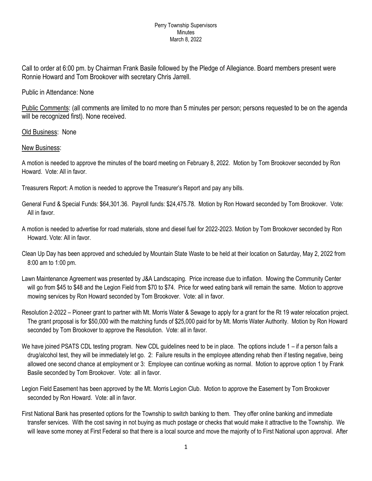## Perry Township Supervisors Minutes March 8, 2022

Call to order at 6:00 pm. by Chairman Frank Basile followed by the Pledge of Allegiance. Board members present were Ronnie Howard and Tom Brookover with secretary Chris Jarrell.

## Public in Attendance: None

Public Comments: (all comments are limited to no more than 5 minutes per person; persons requested to be on the agenda will be recognized first). None received.

## Old Business: None

## New Business:

A motion is needed to approve the minutes of the board meeting on February 8, 2022. Motion by Tom Brookover seconded by Ron Howard. Vote: All in favor.

Treasurers Report: A motion is needed to approve the Treasurer's Report and pay any bills.

- General Fund & Special Funds: \$64,301.36. Payroll funds: \$24,475.78. Motion by Ron Howard seconded by Tom Brookover. Vote: All in favor.
- A motion is needed to advertise for road materials, stone and diesel fuel for 2022-2023. Motion by Tom Brookover seconded by Ron Howard. Vote: All in favor.
- Clean Up Day has been approved and scheduled by Mountain State Waste to be held at their location on Saturday, May 2, 2022 from 8:00 am to 1:00 pm.
- Lawn Maintenance Agreement was presented by J&A Landscaping. Price increase due to inflation. Mowing the Community Center will go from \$45 to \$48 and the Legion Field from \$70 to \$74. Price for weed eating bank will remain the same. Motion to approve mowing services by Ron Howard seconded by Tom Brookover. Vote: all in favor.
- Resolution 2-2022 Pioneer grant to partner with Mt. Morris Water & Sewage to apply for a grant for the Rt 19 water relocation project. The grant proposal is for \$50,000 with the matching funds of \$25,000 paid for by Mt. Morris Water Authority. Motion by Ron Howard seconded by Tom Brookover to approve the Resolution. Vote: all in favor.
- We have joined PSATS CDL testing program. New CDL guidelines need to be in place. The options include 1 if a person fails a drug/alcohol test, they will be immediately let go. 2: Failure results in the employee attending rehab then if testing negative, being allowed one second chance at employment or 3: Employee can continue working as normal. Motion to approve option 1 by Frank Basile seconded by Tom Brookover. Vote: all in favor.
- Legion Field Easement has been approved by the Mt. Morris Legion Club. Motion to approve the Easement by Tom Brookover seconded by Ron Howard. Vote: all in favor.
- First National Bank has presented options for the Township to switch banking to them. They offer online banking and immediate transfer services. With the cost saving in not buying as much postage or checks that would make it attractive to the Township. We will leave some money at First Federal so that there is a local source and move the majority of to First National upon approval. After